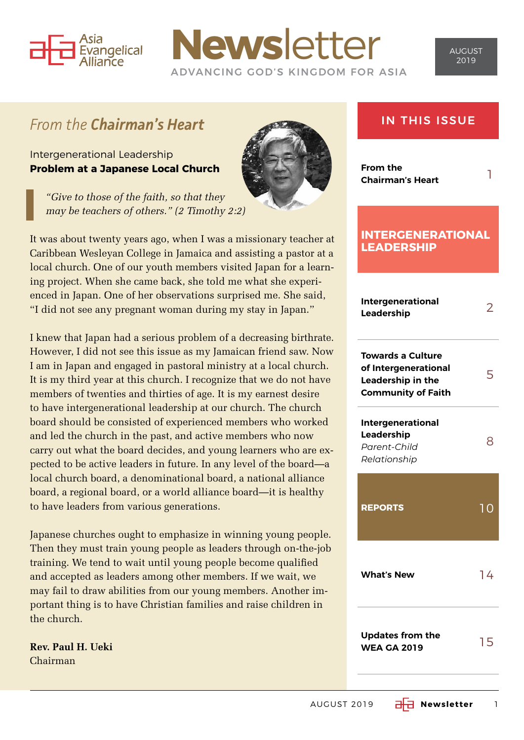

## **News**letter ADVANCING GOD'S KINGDOM FOR ASIA

### *From the Chairman's Heart*

Intergenerational Leadership **Problem at a Japanese Local Church**

*"Give to those of the faith, so that they may be teachers of others." (2 Timothy 2:2)*



I knew that Japan had a serious problem of a decreasing birthrate. However, I did not see this issue as my Jamaican friend saw. Now I am in Japan and engaged in pastoral ministry at a local church. It is my third year at this church. I recognize that we do not have members of twenties and thirties of age. It is my earnest desire to have intergenerational leadership at our church. The church board should be consisted of experienced members who worked and led the church in the past, and active members who now carry out what the board decides, and young learners who are expected to be active leaders in future. In any level of the board—a local church board, a denominational board, a national alliance board, a regional board, or a world alliance board—it is healthy to have leaders from various generations.

Japanese churches ought to emphasize in winning young people. Then they must train young people as leaders through on-the-job training. We tend to wait until young people become qualified and accepted as leaders among other members. If we wait, we may fail to draw abilities from our young members. Another important thing is to have Christian families and raise children in the church.

**Rev. Paul H. Ueki** Chairman



IN THIS ISSUE

**From the Chairman's Heart** 1

#### **INTERGENERATIONAL LEADERSHIP**

| <b>Intergenerational</b><br>Leadership                                                             |                |
|----------------------------------------------------------------------------------------------------|----------------|
| <b>Towards a Culture</b><br>of Intergenerational<br>Leadership in the<br><b>Community of Faith</b> |                |
| <b>Intergenerational</b><br>Leadership<br>Parent-Child<br>Relationship                             | 8              |
|                                                                                                    |                |
| <b>REPORTS</b>                                                                                     | 1 <sup>C</sup> |
| <b>What's New</b>                                                                                  | 14             |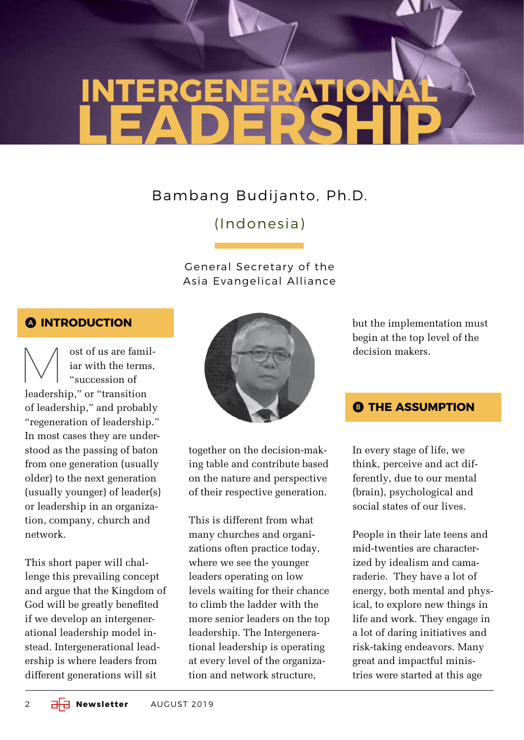# **INTERGENERATIONAL LEADERSHIP**

### Bambang Budijanto, Ph.D.

### (Indonesia)

#### General Secretary of the Asia Evangelical Alliance

#### A **INTRODUCTION**

 $\bigvee\left\{\begin{array}{c} \text{ost of us are familiar with the terms,}\\ \text{``succession of}\end{array}\right.$ iar with the terms, "succession of leadership," or "transition of leadership," and probably "regeneration of leadership." In most cases they are understood as the passing of baton from one generation (usually older) to the next generation (usually younger) of leader(s) or leadership in an organization, company, church and network.

This short paper will challenge this prevailing concept and argue that the Kingdom of God will be greatly benefited if we develop an intergenerational leadership model instead. Intergenerational leadership is where leaders from different generations will sit



together on the decision-making table and contribute based on the nature and perspective of their respective generation.

This is different from what many churches and organizations often practice today, where we see the younger leaders operating on low levels waiting for their chance to climb the ladder with the more senior leaders on the top leadership. The Intergenerational leadership is operating at every level of the organization and network structure,

but the implementation must begin at the top level of the decision makers.

#### **B THE ASSUMPTION**

In every stage of life, we think, perceive and act differently, due to our mental (brain), psychological and social states of our lives.

People in their late teens and mid-twenties are characterized by idealism and camaraderie. They have a lot of energy, both mental and physical, to explore new things in life and work. They engage in a lot of daring initiatives and risk-taking endeavors. Many great and impactful ministries were started at this age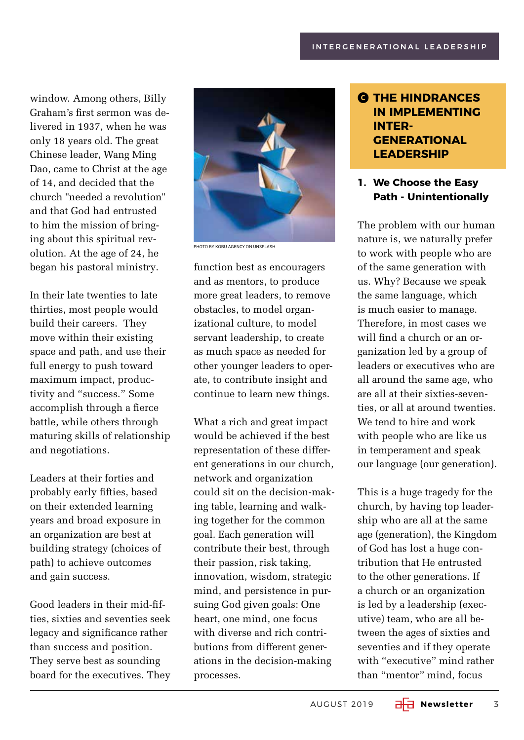window. Among others, Billy Graham's first sermon was delivered in 1937, when he was only 18 years old. The great Chinese leader, Wang Ming Dao, came to Christ at the age of 14, and decided that the church "needed a revolution" and that God had entrusted to him the mission of bringing about this spiritual revolution. At the age of 24, he began his pastoral ministry.

In their late twenties to late thirties, most people would build their careers. They move within their existing space and path, and use their full energy to push toward maximum impact, productivity and "success." Some accomplish through a fierce battle, while others through maturing skills of relationship and negotiations.

Leaders at their forties and probably early fifties, based on their extended learning years and broad exposure in an organization are best at building strategy (choices of path) to achieve outcomes and gain success.

Good leaders in their mid-fifties, sixties and seventies seek legacy and significance rather than success and position. They serve best as sounding board for the executives. They



**PHOTO BY KOBU AGENCY ON UNSPLASH** 

function best as encouragers and as mentors, to produce more great leaders, to remove obstacles, to model organizational culture, to model servant leadership, to create as much space as needed for other younger leaders to operate, to contribute insight and continue to learn new things.

What a rich and great impact would be achieved if the best representation of these different generations in our church, network and organization could sit on the decision-making table, learning and walking together for the common goal. Each generation will contribute their best, through their passion, risk taking, innovation, wisdom, strategic mind, and persistence in pursuing God given goals: One heart, one mind, one focus with diverse and rich contributions from different generations in the decision-making processes.

#### C **THE HINDRANCES IN IMPLEMENTING INTER-GENERATIONAL LEADERSHIP**

#### **1. We Choose the Easy Path - Unintentionally**

The problem with our human nature is, we naturally prefer to work with people who are of the same generation with us. Why? Because we speak the same language, which is much easier to manage. Therefore, in most cases we will find a church or an organization led by a group of leaders or executives who are all around the same age, who are all at their sixties-seventies, or all at around twenties. We tend to hire and work with people who are like us in temperament and speak our language (our generation).

This is a huge tragedy for the church, by having top leadership who are all at the same age (generation), the Kingdom of God has lost a huge contribution that He entrusted to the other generations. If a church or an organization is led by a leadership (executive) team, who are all between the ages of sixties and seventies and if they operate with "executive" mind rather than "mentor" mind, focus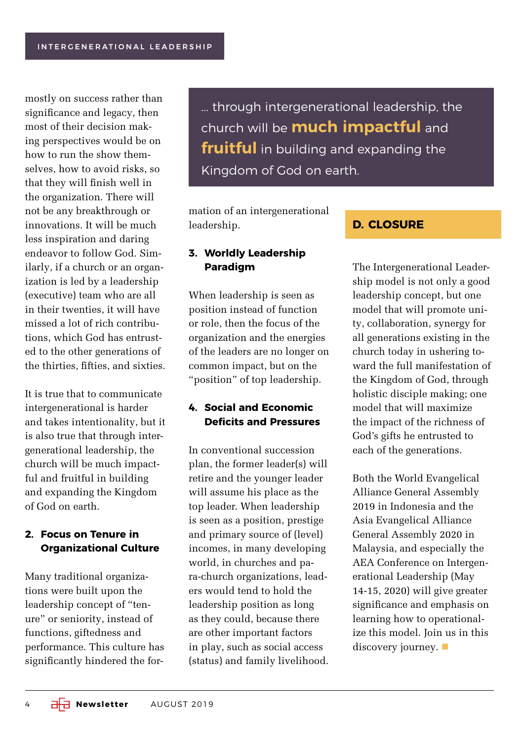mostly on success rather than significance and legacy, then most of their decision making perspectives would be on how to run the show themselves, how to avoid risks, so that they will finish well in the organization. There will not be any breakthrough or innovations. It will be much less inspiration and daring endeavor to follow God. Similarly, if a church or an organization is led by a leadership (executive) team who are all in their twenties, it will have missed a lot of rich contributions, which God has entrusted to the other generations of the thirties, fifties, and sixties.

It is true that to communicate intergenerational is harder and takes intentionality, but it is also true that through intergenerational leadership, the church will be much impactful and fruitful in building and expanding the Kingdom of God on earth.

#### **2. Focus on Tenure in Organizational Culture**

Many traditional organizations were built upon the leadership concept of "tenure" or seniority, instead of functions, giftedness and performance. This culture has significantly hindered the for... through intergenerational leadership, the church will be **much impactful** and **fruitful** in building and expanding the Kingdom of God on earth.

mation of an intergenerational leadership.

#### **3. Worldly Leadership Paradigm**

When leadership is seen as position instead of function or role, then the focus of the organization and the energies of the leaders are no longer on common impact, but on the "position" of top leadership.

#### **4. Social and Economic Deficits and Pressures**

In conventional succession plan, the former leader(s) will retire and the younger leader will assume his place as the top leader. When leadership is seen as a position, prestige and primary source of (level) incomes, in many developing world, in churches and para-church organizations, leaders would tend to hold the leadership position as long as they could, because there are other important factors in play, such as social access (status) and family livelihood.

#### **D. CLOSURE**

The Intergenerational Leadership model is not only a good leadership concept, but one model that will promote unity, collaboration, synergy for all generations existing in the church today in ushering toward the full manifestation of the Kingdom of God, through holistic disciple making; one model that will maximize the impact of the richness of God's gifts he entrusted to each of the generations.

Both the World Evangelical Alliance General Assembly 2019 in Indonesia and the Asia Evangelical Alliance General Assembly 2020 in Malaysia, and especially the AEA Conference on Intergenerational Leadership (May 14-15, 2020) will give greater significance and emphasis on learning how to operationalize this model. Join us in this discovery journey.  $\blacksquare$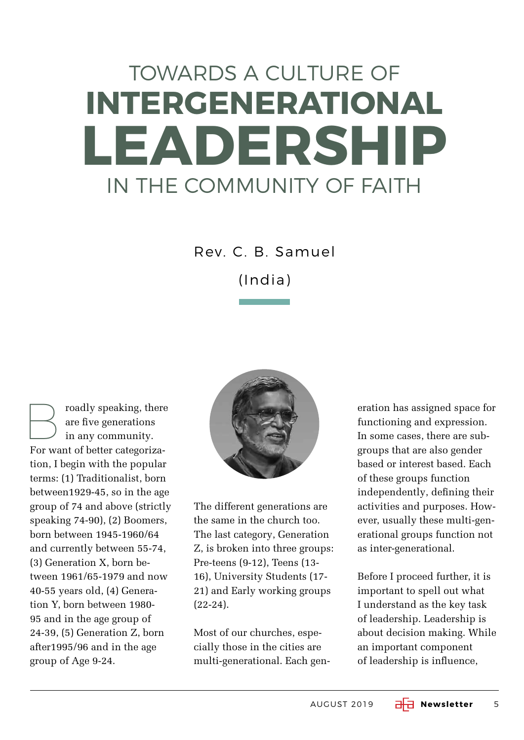# TOWARDS A CULTURE OF **INTERGENERATIONAL LEADERSHIP**  IN THE COMMUNITY OF FAITH

Rev. C. B. Samuel

(India)

roadly speaking, there are five generations in any community. For want of better categorization, I begin with the popular terms: (1) Traditionalist, born between1929-45, so in the age group of 74 and above (strictly speaking 74-90), (2) Boomers, born between 1945-1960/64 and currently between 55-74, (3) Generation X, born between 1961/65-1979 and now 40-55 years old, (4) Generation Y, born between 1980- 95 and in the age group of 24-39, (5) Generation Z, born after1995/96 and in the age group of Age 9-24.



The different generations are the same in the church too. The last category, Generation Z, is broken into three groups: Pre-teens (9-12), Teens (13- 16), University Students (17- 21) and Early working groups (22-24).

Most of our churches, especially those in the cities are multi-generational. Each gen-

eration has assigned space for functioning and expression. In some cases, there are subgroups that are also gender based or interest based. Each of these groups function independently, defining their activities and purposes. However, usually these multi-generational groups function not as inter-generational.

Before I proceed further, it is important to spell out what I understand as the key task of leadership. Leadership is about decision making. While an important component of leadership is influence,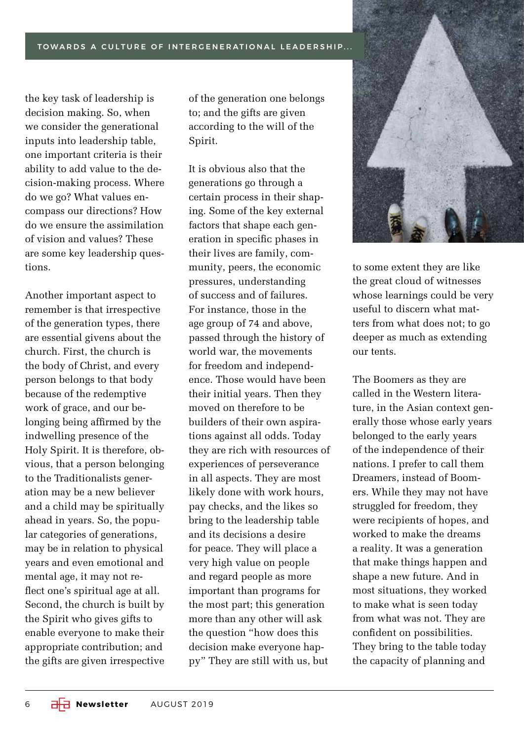TOWARDS A CULTURE OF INTERGENERATIONAL LEADERSHIP...

the key task of leadership is decision making. So, when we consider the generational inputs into leadership table, one important criteria is their ability to add value to the decision-making process. Where do we go? What values encompass our directions? How do we ensure the assimilation of vision and values? These are some key leadership questions.

Another important aspect to remember is that irrespective of the generation types, there are essential givens about the church. First, the church is the body of Christ, and every person belongs to that body because of the redemptive work of grace, and our belonging being affirmed by the indwelling presence of the Holy Spirit. It is therefore, obvious, that a person belonging to the Traditionalists generation may be a new believer and a child may be spiritually ahead in years. So, the popular categories of generations, may be in relation to physical years and even emotional and mental age, it may not reflect one's spiritual age at all. Second, the church is built by the Spirit who gives gifts to enable everyone to make their appropriate contribution; and the gifts are given irrespective

of the generation one belongs to; and the gifts are given according to the will of the Spirit.

It is obvious also that the generations go through a certain process in their shaping. Some of the key external factors that shape each generation in specific phases in their lives are family, community, peers, the economic pressures, understanding of success and of failures. For instance, those in the age group of 74 and above, passed through the history of world war, the movements for freedom and independence. Those would have been their initial years. Then they moved on therefore to be builders of their own aspirations against all odds. Today they are rich with resources of experiences of perseverance in all aspects. They are most likely done with work hours, pay checks, and the likes so bring to the leadership table and its decisions a desire for peace. They will place a very high value on people and regard people as more important than programs for the most part; this generation more than any other will ask the question "how does this decision make everyone happy" They are still with us, but



to some extent they are like the great cloud of witnesses whose learnings could be very useful to discern what matters from what does not; to go deeper as much as extending our tents.

The Boomers as they are called in the Western literature, in the Asian context generally those whose early years belonged to the early years of the independence of their nations. I prefer to call them Dreamers, instead of Boomers. While they may not have struggled for freedom, they were recipients of hopes, and worked to make the dreams a reality. It was a generation that make things happen and shape a new future. And in most situations, they worked to make what is seen today from what was not. They are confident on possibilities. They bring to the table today the capacity of planning and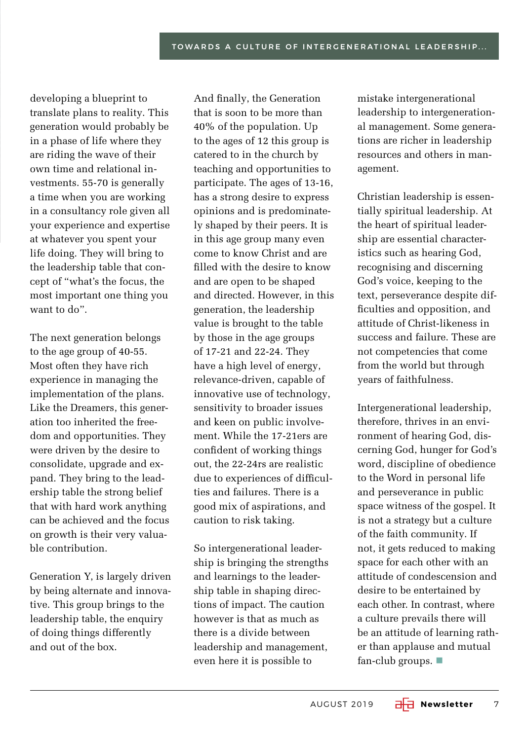developing a blueprint to translate plans to reality. This generation would probably be in a phase of life where they are riding the wave of their own time and relational investments. 55-70 is generally a time when you are working in a consultancy role given all your experience and expertise at whatever you spent your life doing. They will bring to the leadership table that concept of "what's the focus, the most important one thing you want to do".

The next generation belongs to the age group of 40-55. Most often they have rich experience in managing the implementation of the plans. Like the Dreamers, this generation too inherited the freedom and opportunities. They were driven by the desire to consolidate, upgrade and expand. They bring to the leadership table the strong belief that with hard work anything can be achieved and the focus on growth is their very valuable contribution.

Generation Y, is largely driven by being alternate and innovative. This group brings to the leadership table, the enquiry of doing things differently and out of the box.

And finally, the Generation that is soon to be more than 40% of the population. Up to the ages of 12 this group is catered to in the church by teaching and opportunities to participate. The ages of 13-16, has a strong desire to express opinions and is predominately shaped by their peers. It is in this age group many even come to know Christ and are filled with the desire to know and are open to be shaped and directed. However, in this generation, the leadership value is brought to the table by those in the age groups of 17-21 and 22-24. They have a high level of energy, relevance-driven, capable of innovative use of technology, sensitivity to broader issues and keen on public involvement. While the 17-21ers are confident of working things out, the 22-24rs are realistic due to experiences of difficulties and failures. There is a good mix of aspirations, and caution to risk taking.

So intergenerational leadership is bringing the strengths and learnings to the leadership table in shaping directions of impact. The caution however is that as much as there is a divide between leadership and management, even here it is possible to

mistake intergenerational leadership to intergenerational management. Some generations are richer in leadership resources and others in management.

Christian leadership is essentially spiritual leadership. At the heart of spiritual leadership are essential characteristics such as hearing God, recognising and discerning God's voice, keeping to the text, perseverance despite difficulties and opposition, and attitude of Christ-likeness in success and failure. These are not competencies that come from the world but through years of faithfulness.

Intergenerational leadership, therefore, thrives in an environment of hearing God, discerning God, hunger for God's word, discipline of obedience to the Word in personal life and perseverance in public space witness of the gospel. It is not a strategy but a culture of the faith community. If not, it gets reduced to making space for each other with an attitude of condescension and desire to be entertained by each other. In contrast, where a culture prevails there will be an attitude of learning rather than applause and mutual fan-club groups.  $\blacksquare$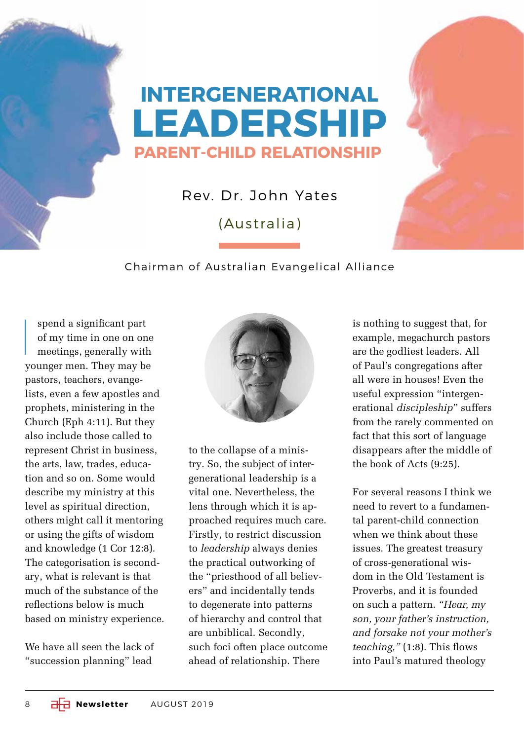## **INTERGENERATIONAL LEADERSHIP PARENT-CHILD RELATIONSHIP**

Rev. Dr. John Yates

(Australia)

#### Chairman of Australian Evangelical Alliance

I spend a significant part of my time in one on one meetings, generally with younger men. They may be pastors, teachers, evangelists, even a few apostles and prophets, ministering in the Church (Eph 4:11). But they also include those called to represent Christ in business, the arts, law, trades, education and so on. Some would describe my ministry at this level as spiritual direction, others might call it mentoring or using the gifts of wisdom and knowledge (1 Cor 12:8). The categorisation is secondary, what is relevant is that much of the substance of the reflections below is much based on ministry experience.

We have all seen the lack of "succession planning" lead



to the collapse of a ministry. So, the subject of intergenerational leadership is a vital one. Nevertheless, the lens through which it is approached requires much care. Firstly, to restrict discussion to *leadership* always denies the practical outworking of the "priesthood of all believers" and incidentally tends to degenerate into patterns of hierarchy and control that are unbiblical. Secondly, such foci often place outcome ahead of relationship. There

is nothing to suggest that, for example, megachurch pastors are the godliest leaders. All of Paul's congregations after all were in houses! Even the useful expression "intergenerational *discipleship*" suffers from the rarely commented on fact that this sort of language disappears after the middle of the book of Acts (9:25).

For several reasons I think we need to revert to a fundamental parent-child connection when we think about these issues. The greatest treasury of cross-generational wisdom in the Old Testament is Proverbs, and it is founded on such a pattern. *"Hear, my son, your father's instruction, and forsake not your mother's teaching,"* (1:8). This flows into Paul's matured theology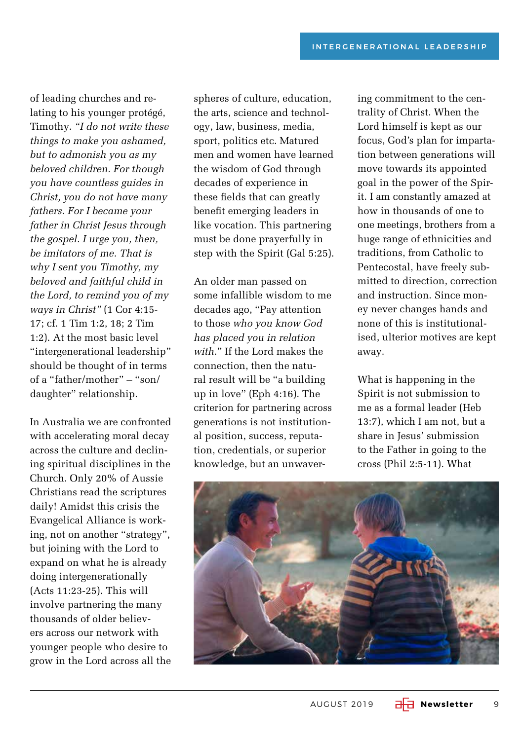of leading churches and relating to his younger protégé, Timothy. *"I do not write these things to make you ashamed, but to admonish you as my beloved children. For though you have countless guides in Christ, you do not have many fathers. For I became your father in Christ Jesus through the gospel. I urge you, then, be imitators of me. That is why I sent you Timothy, my beloved and faithful child in the Lord, to remind you of my ways in Christ"* (1 Cor 4:15- 17; cf. 1 Tim 1:2, 18; 2 Tim 1:2). At the most basic level "intergenerational leadership" should be thought of in terms of a "father/mother" – "son/ daughter" relationship.

In Australia we are confronted with accelerating moral decay across the culture and declining spiritual disciplines in the Church. Only 20% of Aussie Christians read the scriptures daily! Amidst this crisis the Evangelical Alliance is working, not on another "strategy", but joining with the Lord to expand on what he is already doing intergenerationally (Acts 11:23-25). This will involve partnering the many thousands of older believers across our network with younger people who desire to grow in the Lord across all the spheres of culture, education, the arts, science and technology, law, business, media, sport, politics etc. Matured men and women have learned the wisdom of God through decades of experience in these fields that can greatly benefit emerging leaders in like vocation. This partnering must be done prayerfully in step with the Spirit (Gal 5:25).

An older man passed on some infallible wisdom to me decades ago, "Pay attention to those *who you know God has placed you in relation with.*" If the Lord makes the connection, then the natural result will be "a building up in love" (Eph 4:16). The criterion for partnering across generations is not institutional position, success, reputation, credentials, or superior knowledge, but an unwaver-

ing commitment to the centrality of Christ. When the Lord himself is kept as our focus, God's plan for impartation between generations will move towards its appointed goal in the power of the Spirit. I am constantly amazed at how in thousands of one to one meetings, brothers from a huge range of ethnicities and traditions, from Catholic to Pentecostal, have freely submitted to direction, correction and instruction. Since money never changes hands and none of this is institutionalised, ulterior motives are kept away.

What is happening in the Spirit is not submission to me as a formal leader (Heb 13:7), which I am not, but a share in Jesus' submission to the Father in going to the cross (Phil 2:5-11). What

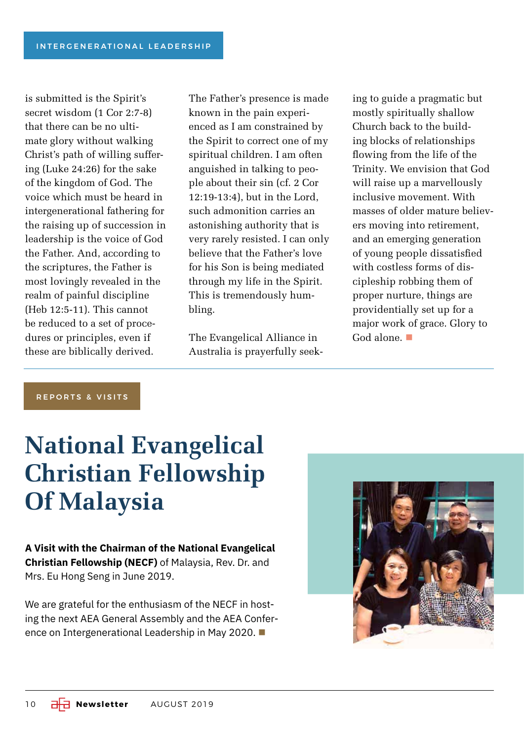is submitted is the Spirit's secret wisdom (1 Cor 2:7-8) that there can be no ultimate glory without walking Christ's path of willing suffering (Luke 24:26) for the sake of the kingdom of God. The voice which must be heard in intergenerational fathering for the raising up of succession in leadership is the voice of God the Father. And, according to the scriptures, the Father is most lovingly revealed in the realm of painful discipline (Heb 12:5-11). This cannot be reduced to a set of procedures or principles, even if these are biblically derived.

The Father's presence is made known in the pain experienced as I am constrained by the Spirit to correct one of my spiritual children. I am often anguished in talking to people about their sin (cf. 2 Cor 12:19-13:4), but in the Lord, such admonition carries an astonishing authority that is very rarely resisted. I can only believe that the Father's love for his Son is being mediated through my life in the Spirit. This is tremendously humbling.

The Evangelical Alliance in Australia is prayerfully seeking to guide a pragmatic but mostly spiritually shallow Church back to the building blocks of relationships flowing from the life of the Trinity. We envision that God will raise up a marvellously inclusive movement. With masses of older mature believers moving into retirement, and an emerging generation of young people dissatisfied with costless forms of discipleship robbing them of proper nurture, things are providentially set up for a major work of grace. Glory to God alone.  $\blacksquare$ 

REPORTS & VISITS

# **National Evangelical Christian Fellowship Of Malaysia**

**A Visit with the Chairman of the National Evangelical Christian Fellowship (NECF)** of Malaysia, Rev. Dr. and Mrs. Eu Hong Seng in June 2019.

We are grateful for the enthusiasm of the NECF in hosting the next AEA General Assembly and the AEA Conference on Intergenerational Leadership in May 2020.

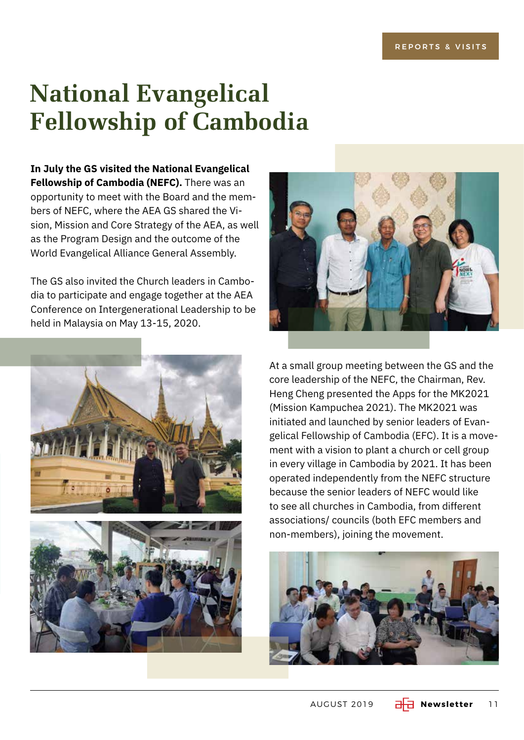# **National Evangelical Fellowship of Cambodia**

**In July the GS visited the National Evangelical Fellowship of Cambodia (NEFC).** There was an opportunity to meet with the Board and the members of NEFC, where the AEA GS shared the Vision, Mission and Core Strategy of the AEA, as well as the Program Design and the outcome of the World Evangelical Alliance General Assembly.

The GS also invited the Church leaders in Cambodia to participate and engage together at the AEA Conference on Intergenerational Leadership to be held in Malaysia on May 13-15, 2020.







At a small group meeting between the GS and the core leadership of the NEFC, the Chairman, Rev. Heng Cheng presented the Apps for the MK2021 (Mission Kampuchea 2021). The MK2021 was initiated and launched by senior leaders of Evangelical Fellowship of Cambodia (EFC). It is a movement with a vision to plant a church or cell group in every village in Cambodia by 2021. It has been operated independently from the NEFC structure because the senior leaders of NEFC would like to see all churches in Cambodia, from different associations/ councils (both EFC members and non-members), joining the movement.

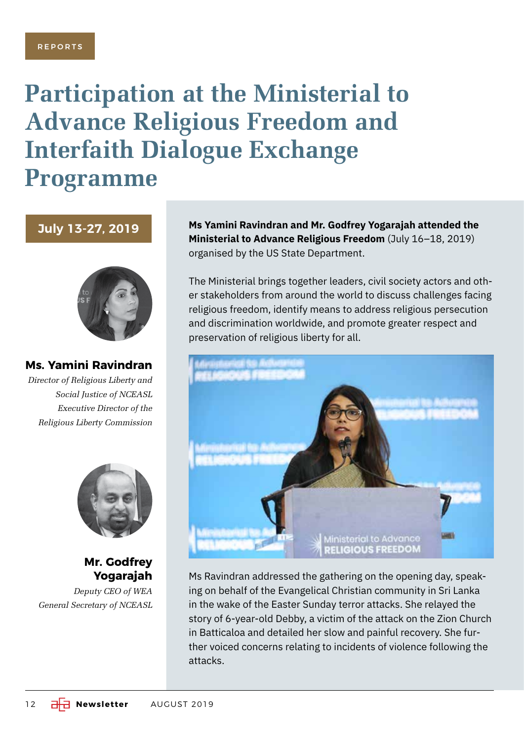## **Participation at the Ministerial to Advance Religious Freedom and Interfaith Dialogue Exchange Programme**

**July 13-27, 2019**



**Ms. Yamini Ravindran**

*Director of Religious Liberty and Social Justice of NCEASL Executive Director of the Religious Liberty Commission*



**Mr. Godfrey Yogarajah**

*Deputy CEO of WEA General Secretary of NCEASL* **Ms Yamini Ravindran and Mr. Godfrey Yogarajah attended the Ministerial to Advance Religious Freedom** (July 16–18, 2019) organised by the US State Department.

The Ministerial brings together leaders, civil society actors and other stakeholders from around the world to discuss challenges facing religious freedom, identify means to address religious persecution and discrimination worldwide, and promote greater respect and preservation of religious liberty for all.



Ms Ravindran addressed the gathering on the opening day, speaking on behalf of the Evangelical Christian community in Sri Lanka in the wake of the Easter Sunday terror attacks. She relayed the story of 6-year-old Debby, a victim of the attack on the Zion Church in Batticaloa and detailed her slow and painful recovery. She further voiced concerns relating to incidents of violence following the attacks.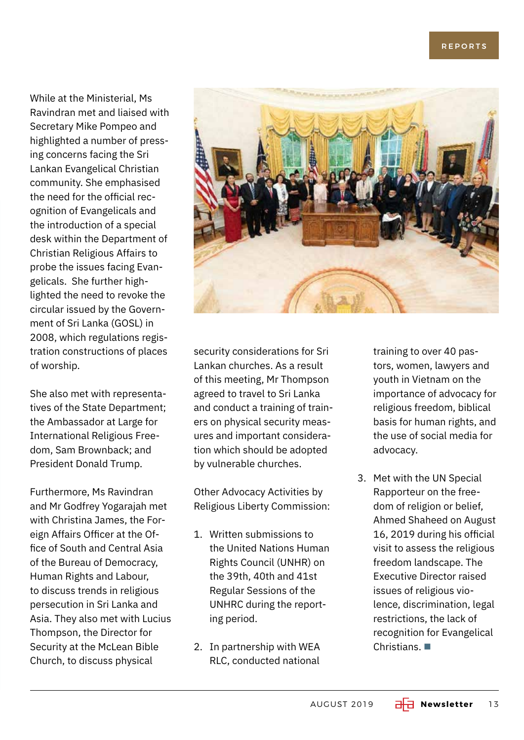While at the Ministerial, Ms Ravindran met and liaised with Secretary Mike Pompeo and highlighted a number of pressing concerns facing the Sri Lankan Evangelical Christian community. She emphasised the need for the official recognition of Evangelicals and the introduction of a special desk within the Department of Christian Religious Affairs to probe the issues facing Evangelicals. She further highlighted the need to revoke the circular issued by the Government of Sri Lanka (GOSL) in 2008, which regulations registration constructions of places of worship.

She also met with representatives of the State Department; the Ambassador at Large for International Religious Freedom, Sam Brownback; and President Donald Trump.

Furthermore, Ms Ravindran and Mr Godfrey Yogarajah met with Christina James, the Foreign Affairs Officer at the Office of South and Central Asia of the Bureau of Democracy, Human Rights and Labour, to discuss trends in religious persecution in Sri Lanka and Asia. They also met with Lucius Thompson, the Director for Security at the McLean Bible Church, to discuss physical



security considerations for Sri Lankan churches. As a result of this meeting, Mr Thompson agreed to travel to Sri Lanka and conduct a training of trainers on physical security measures and important consideration which should be adopted by vulnerable churches.

Other Advocacy Activities by Religious Liberty Commission:

- 1. Written submissions to the United Nations Human Rights Council (UNHR) on the 39th, 40th and 41st Regular Sessions of the UNHRC during the reporting period.
- 2. In partnership with WEA RLC, conducted national

training to over 40 pastors, women, lawyers and youth in Vietnam on the importance of advocacy for religious freedom, biblical basis for human rights, and the use of social media for advocacy.

3. Met with the UN Special Rapporteur on the freedom of religion or belief, Ahmed Shaheed on August 16, 2019 during his official visit to assess the religious freedom landscape. The Executive Director raised issues of religious violence, discrimination, legal restrictions, the lack of recognition for Evangelical Christians.  $\blacksquare$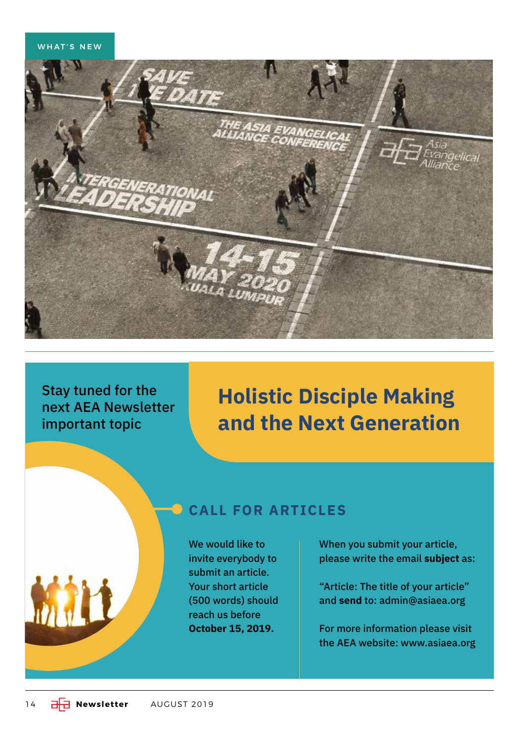#### WHAT'S NEW



Stay tuned for the next AEA Newsletter important topic

### **Holistic Disciple Making and the Next Generation**

#### **CALL FOR ARTICLES**

We would like to invite everybody to submit an article. Your short article (500 words) should reach us before **October 15, 2019.**

When you submit your article, please write the email **subject** as:

"Article: The title of your article" and **send** to: admin@asiaea.org

For more information please visit the AEA website: www.asiaea.org

MILL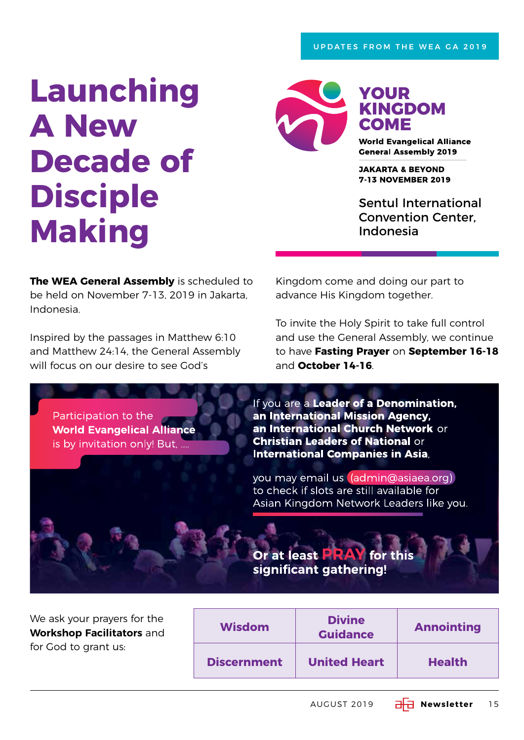# **Launching A New Decade of Disciple Making**



**YOUR KINGDOM** COME

**World Evangelical Alliance General Assembly 2019** 

**JAKARTA & BEYOND 7-13 NOVEMBER 2019** 

Sentul International Convention Center, Indonesia

**The WEA General Assembly** is scheduled to be held on November 7-13, 2019 in Jakarta, Indonesia.

Inspired by the passages in Matthew 6:10 and Matthew 24:14, the General Assembly will focus on our desire to see God's

Kingdom come and doing our part to advance His Kingdom together.

To invite the Holy Spirit to take full control and use the General Assembly, we continue to have **Fasting Prayer** on **September 16-18** and **October 14-16**.

Participation to the **World Evangelical Alliance** is by invitation only! But, ....

If you are a Leader of a Denomination, an International Mission Agency, an International Church Network or **Christian Leaders of National or International Companies in Asia,** 

you may email us (admin@asiaea.org) to check if slots are still available for Asian Kingdom Network Leaders like you.

We ask your prayers for the **Workshop Facilitators** and for God to grant us:

| <b>Wisdom</b>      | <b>Divine</b><br><b>Guidance</b> | <b>Annointing</b> |
|--------------------|----------------------------------|-------------------|
| <b>Discernment</b> | <b>United Heart</b>              | <b>Health</b>     |

Or at least PRA

significant gathering!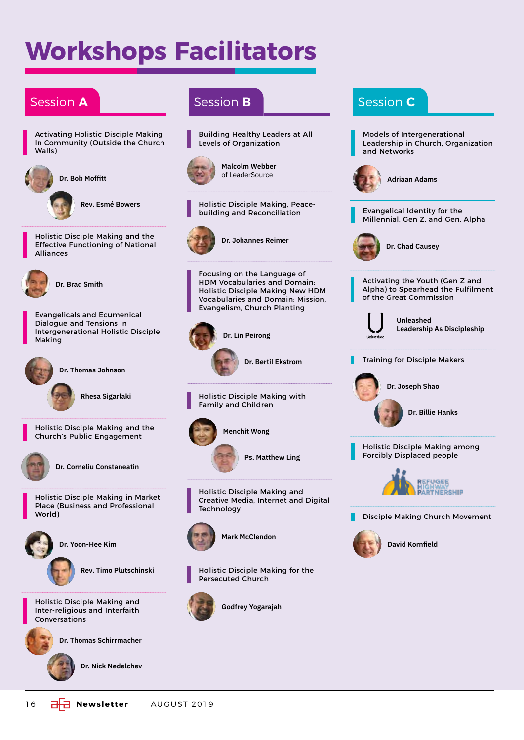# **Workshops Facilitators**

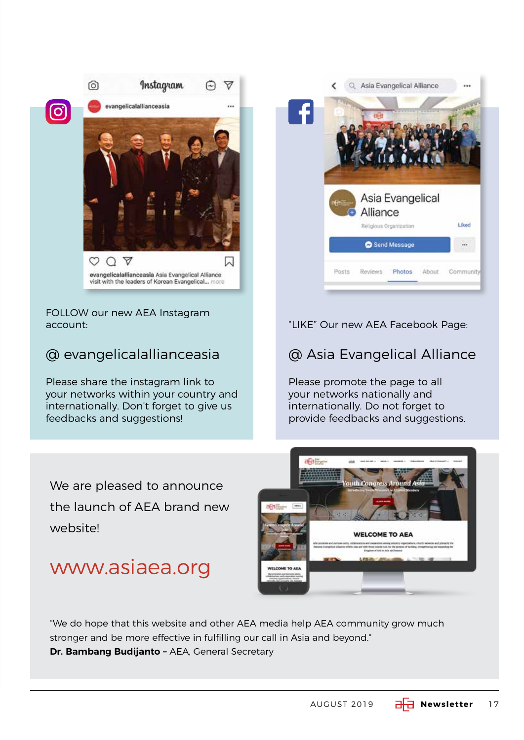

FOLLOW our new AEA Instagram account:

### @ evangelicalallianceasia

Please share the instagram link to your networks within your country and internationally. Don't forget to give us feedbacks and suggestions!

We are pleased to announce the launch of AEA brand new website!

### www.asiaea.org



#### "LIKE" Our new AEA Facebook Page:

#### @ Asia Evangelical Alliance

Please promote the page to all your networks nationally and internationally. Do not forget to provide feedbacks and suggestions.



"We do hope that this website and other AEA media help AEA community grow much stronger and be more effective in fulfilling our call in Asia and beyond." **Dr. Bambang Budijanto - AEA, General Secretary**